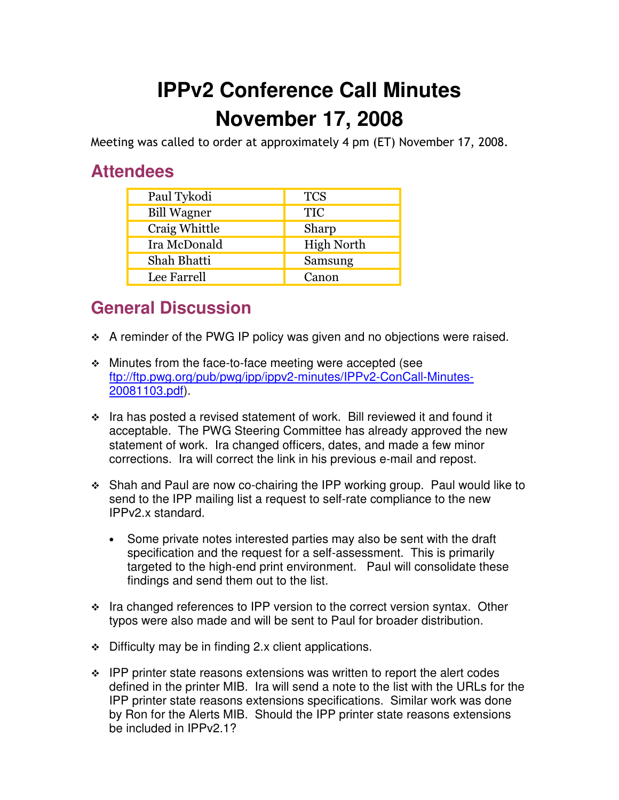## **IPPv2 Conference Call Minutes November 17, 2008**

Meeting was called to order at approximately 4 pm (ET) November 17, 2008.

## **Attendees**

| Paul Tykodi        | <b>TCS</b>        |
|--------------------|-------------------|
| <b>Bill Wagner</b> | <b>TIC</b>        |
| Craig Whittle      | Sharp             |
| Ira McDonald       | <b>High North</b> |
| Shah Bhatti        | Samsung           |
| Lee Farrell        | Canon             |

## **General Discussion**

- \* A reminder of the PWG IP policy was given and no objections were raised.
- Minutes from the face-to-face meeting were accepted (see ftp://ftp.pwg.org/pub/pwg/ipp/ippv2-minutes/IPPv2-ConCall-Minutes-20081103.pdf).
- \* Ira has posted a revised statement of work. Bill reviewed it and found it acceptable. The PWG Steering Committee has already approved the new statement of work. Ira changed officers, dates, and made a few minor corrections. Ira will correct the link in his previous e-mail and repost.
- Shah and Paul are now co-chairing the IPP working group. Paul would like to send to the IPP mailing list a request to self-rate compliance to the new IPPv2.x standard.
	- Some private notes interested parties may also be sent with the draft specification and the request for a self-assessment. This is primarily targeted to the high-end print environment. Paul will consolidate these findings and send them out to the list.
- $\cdot$  Ira changed references to IPP version to the correct version syntax. Other typos were also made and will be sent to Paul for broader distribution.
- $\div$  Difficulty may be in finding 2.x client applications.
- $\cdot$  IPP printer state reasons extensions was written to report the alert codes defined in the printer MIB. Ira will send a note to the list with the URLs for the IPP printer state reasons extensions specifications. Similar work was done by Ron for the Alerts MIB. Should the IPP printer state reasons extensions be included in IPPv2.1?